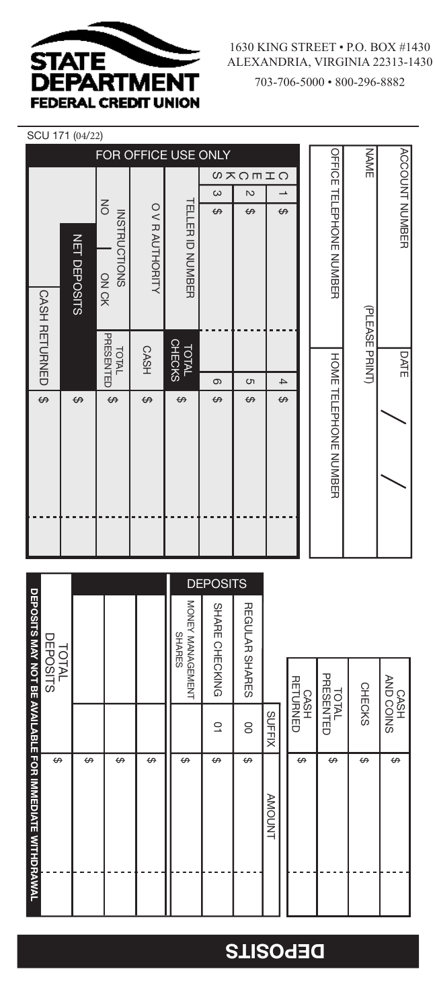

## SCU 171 (04/22)

|                      |                     |                                        |                 | FOR OFFICE USE ONLY           |          |                |                          |                         | NAME           |                       |
|----------------------|---------------------|----------------------------------------|-----------------|-------------------------------|----------|----------------|--------------------------|-------------------------|----------------|-----------------------|
|                      |                     |                                        |                 |                               |          | <b>05mDK8</b>  |                          |                         |                |                       |
|                      |                     |                                        |                 |                               | $\omega$ | $\overline{c}$ | $\overline{\phantom{a}}$ |                         |                |                       |
|                      | <b>NET DEPOSITS</b> | $\leq$<br><b>INSTRUCTIONS</b><br>ON CK | O V R AUTHORITY | TELLER ID NOWBER              | ↔        | ↔              | ↔                        | OFFICE TELEPHONE NUMBER |                | <b>ACCOUNT NUMBER</b> |
| <b>CASH RETURNED</b> |                     | PRESENTED<br>TOTAL                     | <b>CASH</b>     | <b>CHECKS</b><br><b>TOTAL</b> |          |                |                          |                         | (PLEASE PRINT) | <b>DATE</b>           |
|                      |                     |                                        |                 |                               | ၜ        | S              | $\overline{4}$           |                         |                |                       |
| ↔                    | ↔                   | ↮                                      | ↔               | ↔                             | ↔        | ↔              | ↔                        | HONE TELEPHONE NUMBER   |                |                       |

|                                                        |                          |   |   |   |                                   | <b>DEPOSITS</b> |                |               |                  |                    |               |                   |
|--------------------------------------------------------|--------------------------|---|---|---|-----------------------------------|-----------------|----------------|---------------|------------------|--------------------|---------------|-------------------|
|                                                        |                          |   |   |   | MONEY MANAGEMENT<br><b>SHARES</b> | SHARE CHECKING  | REGULAR SHARES |               |                  |                    |               |                   |
|                                                        | DEPOSITS<br><b>TOTAL</b> |   |   |   |                                   |                 |                |               | CASH<br>RETURNED | TOTAL<br>PRESENTED | <b>CHECKS</b> | SNIOO ONY<br>HSYO |
|                                                        |                          |   |   |   |                                   | ā               | OO             | <b>SUFFIX</b> |                  |                    |               |                   |
| DEPOSITS MAY NOT BE AVAILABLE FOR IMMEDIATE WITHDRAWAL | ↔                        | ↔ | ↮ | ↔ | ↔                                 | ↔               | $\Theta$       | AMUONT        | ↔                | ↔                  | ↔             | ↔                 |

## **DEPOSITS**